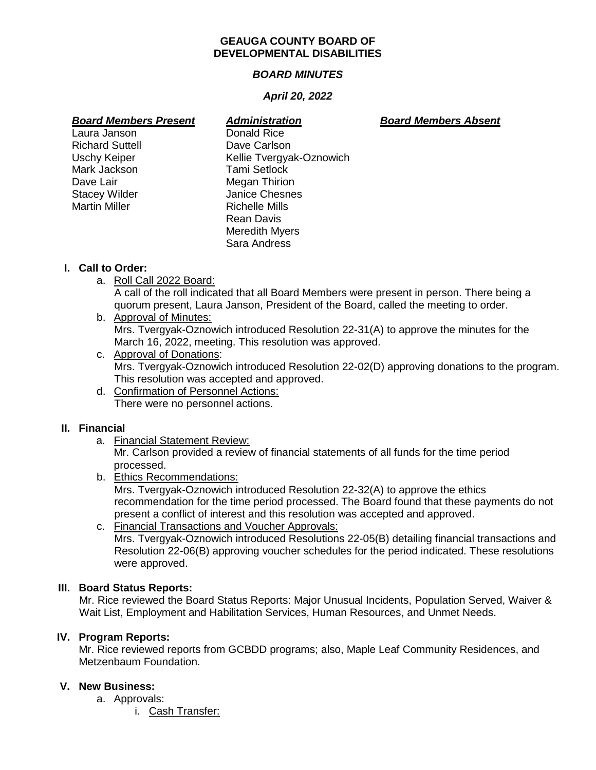#### **GEAUGA COUNTY BOARD OF DEVELOPMENTAL DISABILITIES**

# *BOARD MINUTES*

# *April 20, 2022*

- Laura Janson Richard Suttell Dave Carlson Mark Jackson **Tami Setlock** Dave Lair **Megan Thirion** Martin Miller **Nights** Richelle Mills
- *Board Members Present Administration Board Members Absent* Uschy Keiper Kellie Tvergyak-Oznowich Stacey Wilder **Janice Chesnes** Rean Davis Meredith Myers Sara Andress

# **I. Call to Order:**

a. Roll Call 2022 Board:

A call of the roll indicated that all Board Members were present in person. There being a quorum present, Laura Janson, President of the Board, called the meeting to order.

- b. Approval of Minutes: Mrs. Tvergyak-Oznowich introduced Resolution 22-31(A) to approve the minutes for the March 16, 2022, meeting. This resolution was approved.
- c. Approval of Donations: Mrs. Tvergyak-Oznowich introduced Resolution 22-02(D) approving donations to the program. This resolution was accepted and approved.
- d. Confirmation of Personnel Actions: There were no personnel actions.

## **II. Financial**

a. Financial Statement Review:

Mr. Carlson provided a review of financial statements of all funds for the time period processed.

b. Ethics Recommendations:

Mrs. Tvergyak-Oznowich introduced Resolution 22-32(A) to approve the ethics recommendation for the time period processed. The Board found that these payments do not present a conflict of interest and this resolution was accepted and approved.

c. Financial Transactions and Voucher Approvals: Mrs. Tvergyak-Oznowich introduced Resolutions 22-05(B) detailing financial transactions and Resolution 22-06(B) approving voucher schedules for the period indicated. These resolutions were approved.

## **III. Board Status Reports:**

Mr. Rice reviewed the Board Status Reports: Major Unusual Incidents, Population Served, Waiver & Wait List, Employment and Habilitation Services, Human Resources, and Unmet Needs.

## **IV. Program Reports:**

Mr. Rice reviewed reports from GCBDD programs; also, Maple Leaf Community Residences, and Metzenbaum Foundation.

## **V. New Business:**

- a. Approvals:
	- i. Cash Transfer: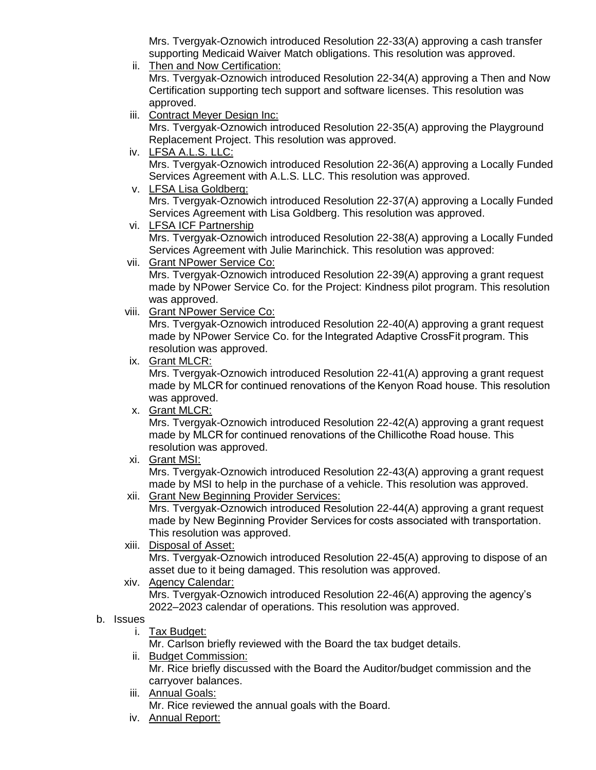Mrs. Tvergyak-Oznowich introduced Resolution 22-33(A) approving a cash transfer supporting Medicaid Waiver Match obligations. This resolution was approved.

ii. Then and Now Certification:

Mrs. Tvergyak-Oznowich introduced Resolution 22-34(A) approving a Then and Now Certification supporting tech support and software licenses. This resolution was approved.

iii. Contract Meyer Design Inc:

Mrs. Tvergyak-Oznowich introduced Resolution 22-35(A) approving the Playground Replacement Project. This resolution was approved.

iv. LFSA A.L.S. LLC:

Mrs. Tvergyak-Oznowich introduced Resolution 22-36(A) approving a Locally Funded Services Agreement with A.L.S. LLC. This resolution was approved.

v. LFSA Lisa Goldberg:

Mrs. Tvergyak-Oznowich introduced Resolution 22-37(A) approving a Locally Funded Services Agreement with Lisa Goldberg. This resolution was approved.

vi. LFSA ICF Partnership

Mrs. Tvergyak-Oznowich introduced Resolution 22-38(A) approving a Locally Funded Services Agreement with Julie Marinchick. This resolution was approved:

vii. Grant NPower Service Co:

Mrs. Tvergyak-Oznowich introduced Resolution 22-39(A) approving a grant request made by NPower Service Co. for the Project: Kindness pilot program. This resolution was approved.

viii. Grant NPower Service Co:

Mrs. Tvergyak-Oznowich introduced Resolution 22-40(A) approving a grant request made by NPower Service Co. for the Integrated Adaptive CrossFit program. This resolution was approved.

ix. Grant MLCR:

Mrs. Tvergyak-Oznowich introduced Resolution 22-41(A) approving a grant request made by MLCR for continued renovations of the Kenyon Road house. This resolution was approved.

x. Grant MLCR:

Mrs. Tvergyak-Oznowich introduced Resolution 22-42(A) approving a grant request made by MLCR for continued renovations of the Chillicothe Road house. This resolution was approved.

xi. Grant MSI:

Mrs. Tvergyak-Oznowich introduced Resolution 22-43(A) approving a grant request made by MSI to help in the purchase of a vehicle. This resolution was approved.

xii. Grant New Beginning Provider Services:

Mrs. Tvergyak-Oznowich introduced Resolution 22-44(A) approving a grant request made by New Beginning Provider Services for costs associated with transportation. This resolution was approved.

xiii. Disposal of Asset:

Mrs. Tvergyak-Oznowich introduced Resolution 22-45(A) approving to dispose of an asset due to it being damaged. This resolution was approved.

xiv. Agency Calendar:

Mrs. Tvergyak-Oznowich introduced Resolution 22-46(A) approving the agency's 2022–2023 calendar of operations. This resolution was approved.

## b. Issues

i. Tax Budget:

Mr. Carlson briefly reviewed with the Board the tax budget details.

ii. Budget Commission:

Mr. Rice briefly discussed with the Board the Auditor/budget commission and the carryover balances.

iii. Annual Goals:

Mr. Rice reviewed the annual goals with the Board.

iv. Annual Report: